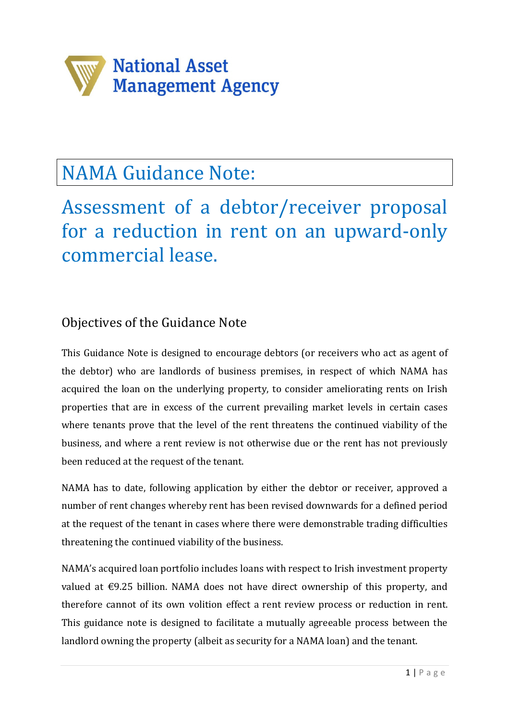

# NAMA Guidance Note:

Assessment of a debtor/receiver proposal for a reduction in rent on an upward-only commercial lease.

# Objectives of the Guidance Note

This Guidance Note is designed to encourage debtors (or receivers who act as agent of the debtor) who are landlords of business premises, in respect of which NAMA has acquired the loan on the underlying property, to consider ameliorating rents on Irish properties that are in excess of the current prevailing market levels in certain cases where tenants prove that the level of the rent threatens the continued viability of the business, and where a rent review is not otherwise due or the rent has not previously been reduced at the request of the tenant.

NAMA has to date, following application by either the debtor or receiver, approved a number of rent changes whereby rent has been revised downwards for a defined period at the request of the tenant in cases where there were demonstrable trading difficulties threatening the continued viability of the business.

NAMA's acquired loan portfolio includes loans with respect to Irish investment property valued at €9.25 billion. NAMA does not have direct ownership of this property, and therefore cannot of its own volition effect a rent review process or reduction in rent. This guidance note is designed to facilitate a mutually agreeable process between the landlord owning the property (albeit as security for a NAMA loan) and the tenant.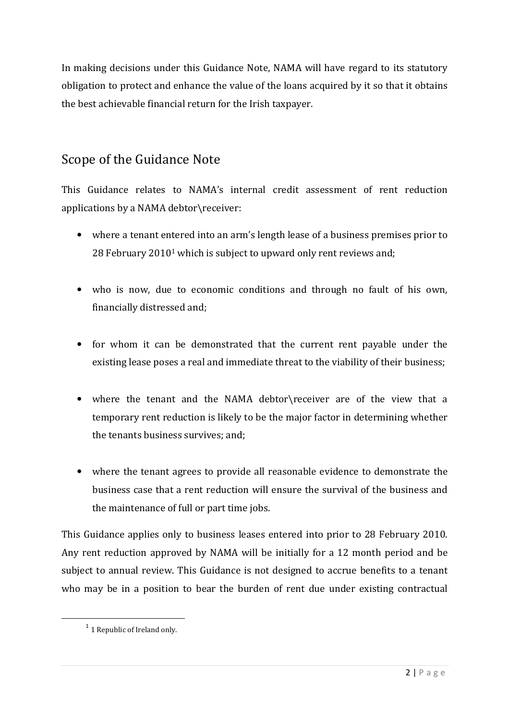In making decisions under this Guidance Note, NAMA will have regard to its statutory obligation to protect and enhance the value of the loans acquired by it so that it obtains the best achievable financial return for the Irish taxpayer.

### Scope of the Guidance Note

This Guidance relates to NAMA's internal credit assessment of rent reduction applications by a NAMA debtor\receiver:

- where a tenant entered into an arm's length lease of a business premises prior to 28 February 20101 which is subject to upward only rent reviews and;
- who is now, due to economic conditions and through no fault of his own, financially distressed and;
- for whom it can be demonstrated that the current rent payable under the existing lease poses a real and immediate threat to the viability of their business;
- where the tenant and the NAMA debtor\receiver are of the view that a temporary rent reduction is likely to be the major factor in determining whether the tenants business survives; and;
- where the tenant agrees to provide all reasonable evidence to demonstrate the business case that a rent reduction will ensure the survival of the business and the maintenance of full or part time jobs.

This Guidance applies only to business leases entered into prior to 28 February 2010. Any rent reduction approved by NAMA will be initially for a 12 month period and be subject to annual review. This Guidance is not designed to accrue benefits to a tenant who may be in a position to bear the burden of rent due under existing contractual

l

 $1$  1 Republic of Ireland only.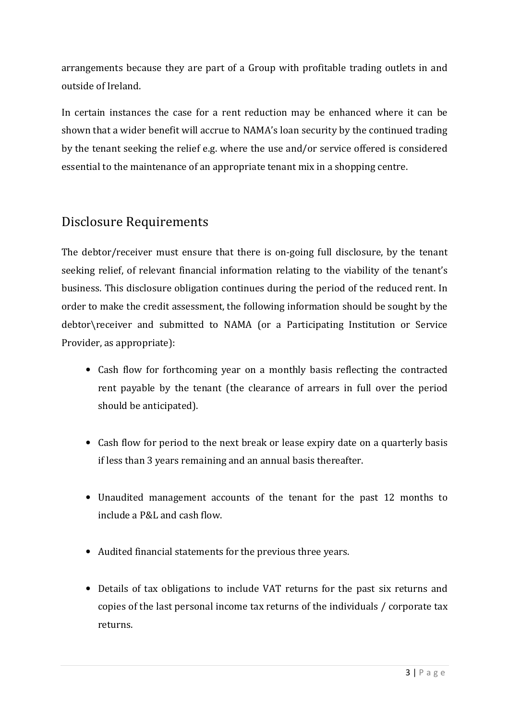arrangements because they are part of a Group with profitable trading outlets in and outside of Ireland.

In certain instances the case for a rent reduction may be enhanced where it can be shown that a wider benefit will accrue to NAMA's loan security by the continued trading by the tenant seeking the relief e.g. where the use and/or service offered is considered essential to the maintenance of an appropriate tenant mix in a shopping centre.

# Disclosure Requirements

The debtor/receiver must ensure that there is on-going full disclosure, by the tenant seeking relief, of relevant financial information relating to the viability of the tenant's business. This disclosure obligation continues during the period of the reduced rent. In order to make the credit assessment, the following information should be sought by the debtor\receiver and submitted to NAMA (or a Participating Institution or Service Provider, as appropriate):

- Cash flow for forthcoming year on a monthly basis reflecting the contracted rent payable by the tenant (the clearance of arrears in full over the period should be anticipated).
- Cash flow for period to the next break or lease expiry date on a quarterly basis if less than 3 years remaining and an annual basis thereafter.
- Unaudited management accounts of the tenant for the past 12 months to include a P&L and cash flow.
- Audited financial statements for the previous three years.
- Details of tax obligations to include VAT returns for the past six returns and copies of the last personal income tax returns of the individuals / corporate tax returns.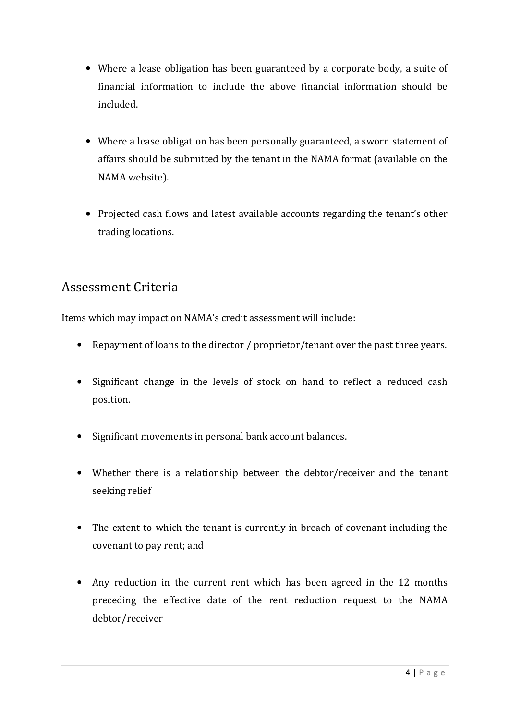- Where a lease obligation has been guaranteed by a corporate body, a suite of financial information to include the above financial information should be included.
- Where a lease obligation has been personally guaranteed, a sworn statement of affairs should be submitted by the tenant in the NAMA format (available on the NAMA website).
- Projected cash flows and latest available accounts regarding the tenant's other trading locations.

#### Assessment Criteria

Items which may impact on NAMA's credit assessment will include:

- Repayment of loans to the director / proprietor/tenant over the past three years.
- Significant change in the levels of stock on hand to reflect a reduced cash position.
- Significant movements in personal bank account balances.
- Whether there is a relationship between the debtor/receiver and the tenant seeking relief
- The extent to which the tenant is currently in breach of covenant including the covenant to pay rent; and
- Any reduction in the current rent which has been agreed in the 12 months preceding the effective date of the rent reduction request to the NAMA debtor/receiver